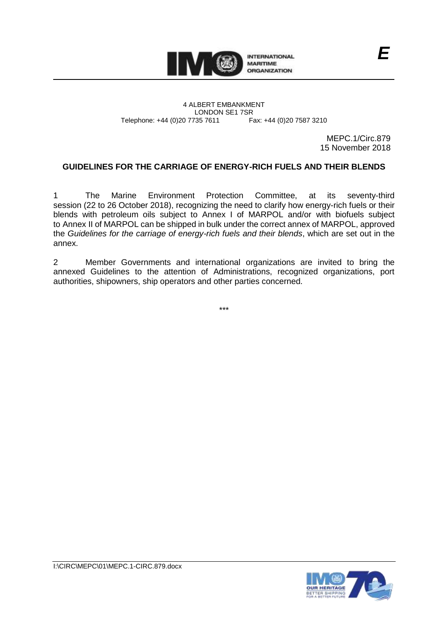

4 ALBERT EMBANKMENT Telephone: +44 (0)20 7735 7611

LONDON SE1 7SR<br>735 7611 Fax: +44 (0)20 7587 3210

MEPC.1/Circ.879 15 November 2018

*E*

## **GUIDELINES FOR THE CARRIAGE OF ENERGY-RICH FUELS AND THEIR BLENDS**

1 The Marine Environment Protection Committee, at its seventy-third session (22 to 26 October 2018), recognizing the need to clarify how energy-rich fuels or their blends with petroleum oils subject to Annex I of MARPOL and/or with biofuels subject to Annex II of MARPOL can be shipped in bulk under the correct annex of MARPOL, approved the *Guidelines for the carriage of energy-rich fuels and their blends*, which are set out in the annex.

2 Member Governments and international organizations are invited to bring the annexed Guidelines to the attention of Administrations, recognized organizations, port authorities, shipowners, ship operators and other parties concerned.

\*\*\*

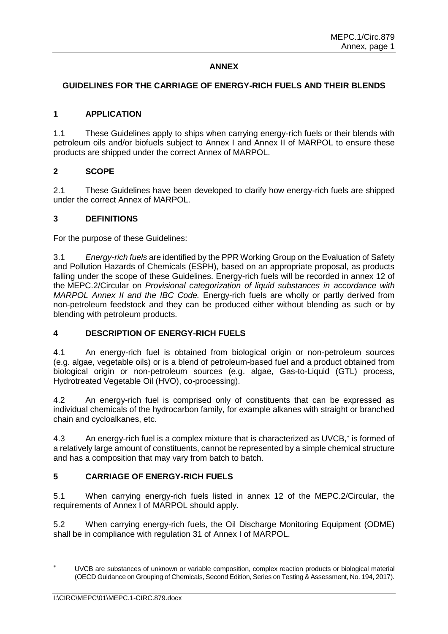## **ANNEX**

### **GUIDELINES FOR THE CARRIAGE OF ENERGY-RICH FUELS AND THEIR BLENDS**

### **1 APPLICATION**

1.1 These Guidelines apply to ships when carrying energy-rich fuels or their blends with petroleum oils and/or biofuels subject to Annex I and Annex II of MARPOL to ensure these products are shipped under the correct Annex of MARPOL.

### **2 SCOPE**

2.1 These Guidelines have been developed to clarify how energy-rich fuels are shipped under the correct Annex of MARPOL.

### **3 DEFINITIONS**

For the purpose of these Guidelines:

3.1 *Energy-rich fuels* are identified by the PPR Working Group on the Evaluation of Safety and Pollution Hazards of Chemicals (ESPH), based on an appropriate proposal, as products falling under the scope of these Guidelines. Energy-rich fuels will be recorded in annex 12 of the MEPC.2/Circular on *Provisional categorization of liquid substances in accordance with MARPOL Annex II and the IBC Code.* Energy-rich fuels are wholly or partly derived from non-petroleum feedstock and they can be produced either without blending as such or by blending with petroleum products.

## **4 DESCRIPTION OF ENERGY-RICH FUELS**

4.1 An energy-rich fuel is obtained from biological origin or non-petroleum sources (e.g. algae, vegetable oils) or is a blend of petroleum-based fuel and a product obtained from biological origin or non-petroleum sources (e.g. algae, Gas-to-Liquid (GTL) process, Hydrotreated Vegetable Oil (HVO), co-processing).

4.2 An energy-rich fuel is comprised only of constituents that can be expressed as individual chemicals of the hydrocarbon family, for example alkanes with straight or branched chain and cycloalkanes, etc.

4.3 An energy-rich fuel is a complex mixture that is characterized as UVCB,<sup>\*</sup> is formed of a relatively large amount of constituents, cannot be represented by a simple chemical structure and has a composition that may vary from batch to batch.

# **5 CARRIAGE OF ENERGY-RICH FUELS**

5.1 When carrying energy-rich fuels listed in annex 12 of the MEPC.2/Circular, the requirements of Annex I of MARPOL should apply.

5.2 When carrying energy-rich fuels, the Oil Discharge Monitoring Equipment (ODME) shall be in compliance with regulation 31 of Annex I of MARPOL.

 $\overline{a}$ 

UVCB are substances of unknown or variable composition, complex reaction products or biological material (OECD Guidance on Grouping of Chemicals, Second Edition, Series on Testing & Assessment, No. 194, 2017).